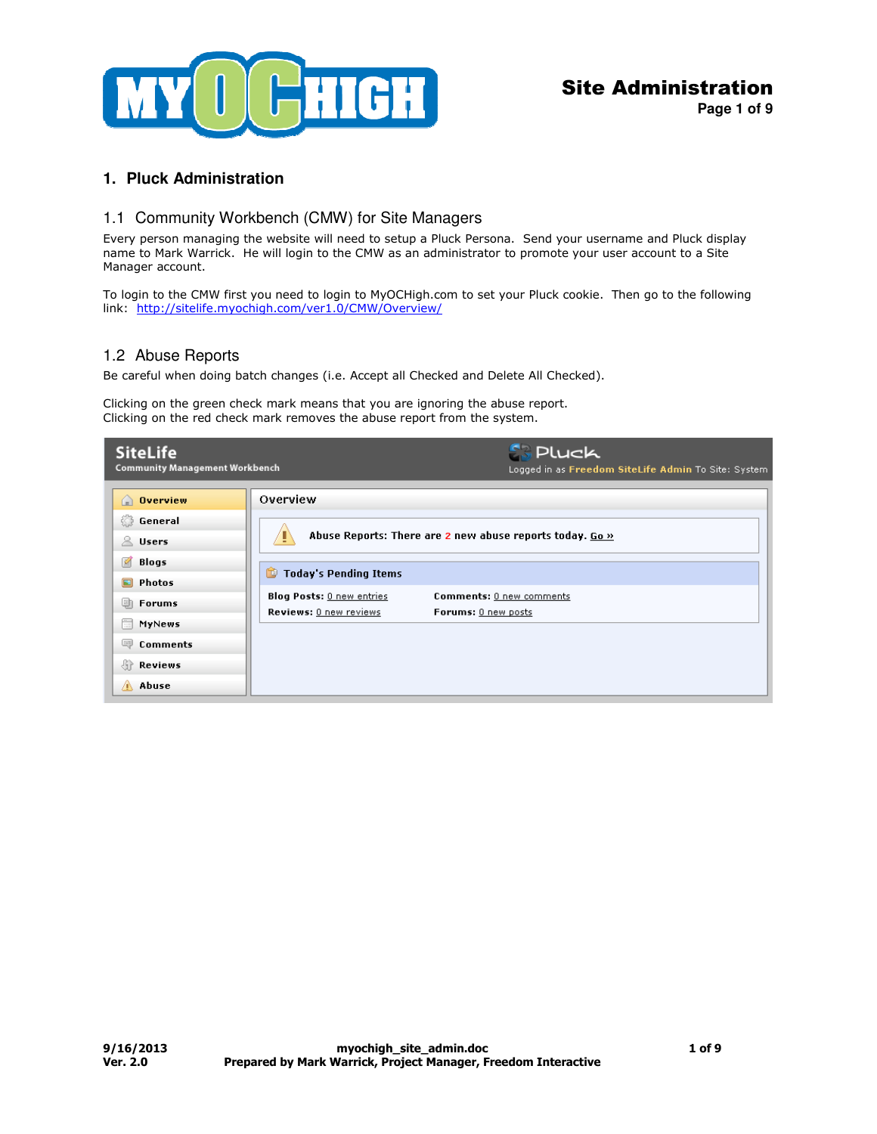

**Page 1 of 9**

## **1. Pluck Administration**

### 1.1 Community Workbench (CMW) for Site Managers

Every person managing the website will need to setup a Pluck Persona. Send your username and Pluck display name to Mark Warrick. He will login to the CMW as an administrator to promote your user account to a Site Manager account.

To login to the CMW first you need to login to MyOCHigh.com to set your Pluck cookie. Then go to the following link: http://sitelife.myochigh.com/ver1.0/CMW/Overview/

### 1.2 Abuse Reports

Be careful when doing batch changes (i.e. Accept all Checked and Delete All Checked).

Clicking on the green check mark means that you are ignoring the abuse report. Clicking on the red check mark removes the abuse report from the system.

| <b>SiteLife</b>                                                                 | <b>Pluck</b>                                                         |
|---------------------------------------------------------------------------------|----------------------------------------------------------------------|
| <b>Community Management Workbench</b>                                           | Logged in as Freedom SiteLife Admin To Site: System                  |
| $\bigcap$ Overview<br>General<br>$\geq$ Users                                   | Overview<br>Abuse Reports: There are 2 new abuse reports today. Go » |
| Ø                                                                               | <b>Today's Pending Items</b>                                         |
| Blogs                                                                           | 忙                                                                    |
| o                                                                               | <b>Blog Posts:</b> 0 new entries                                     |
| Photos                                                                          | Comments: 0 new comments                                             |
| 勯                                                                               | Reviews: 0 new reviews                                               |
| <b>Forums</b>                                                                   | Forums: 0 new posts                                                  |
| $\frac{1}{100}$<br>MyNews<br>圖<br><b>Comments</b><br>Reviews<br>价<br>Abuse<br>А |                                                                      |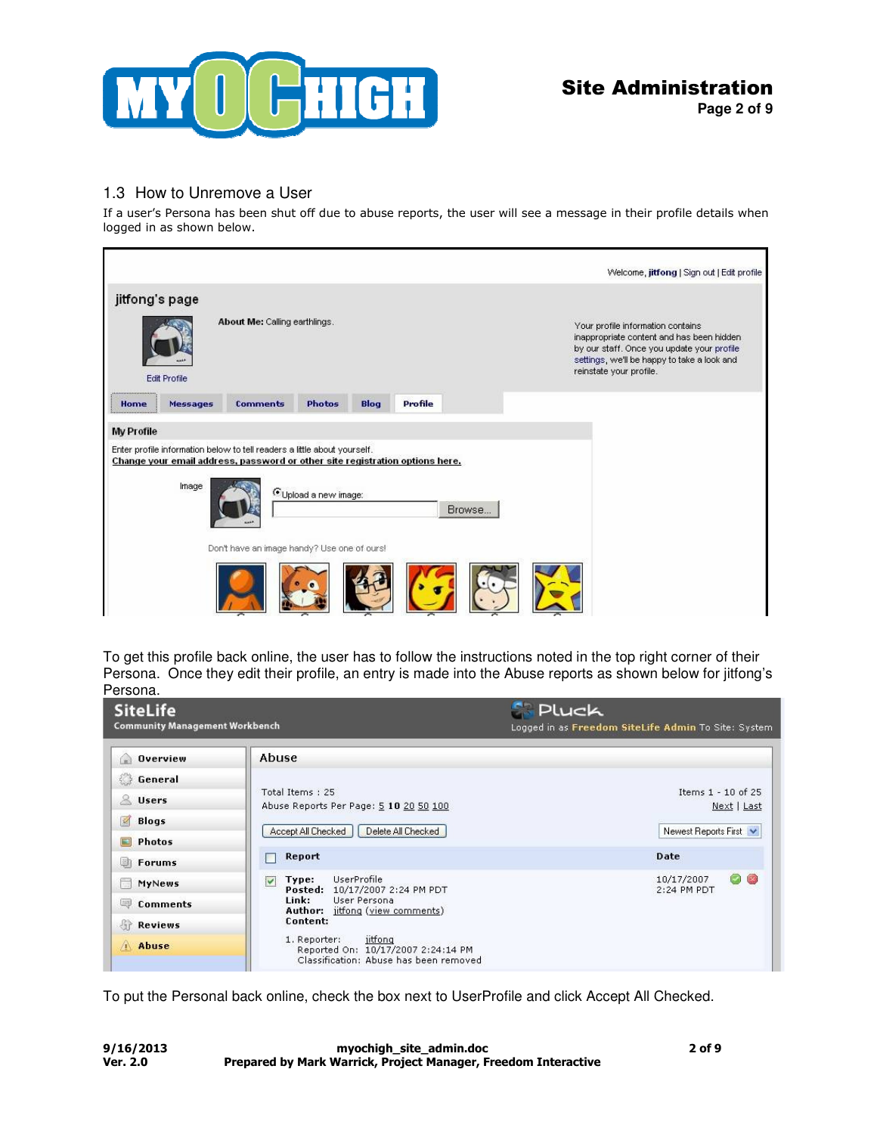

**Page 2 of 9**

# 1.3 How to Unremove a User

If a user's Persona has been shut off due to abuse reports, the user will see a message in their profile details when logged in as shown below.

|                   |                     |                                                                                                                                                                                                         |                                  |      |         |        | Welcome, jitfong   Sign out   Edit profile                                                                                                                                                             |  |
|-------------------|---------------------|---------------------------------------------------------------------------------------------------------------------------------------------------------------------------------------------------------|----------------------------------|------|---------|--------|--------------------------------------------------------------------------------------------------------------------------------------------------------------------------------------------------------|--|
| jitfong's page    | <b>Edit Profile</b> | About Me: Calling earthlings.                                                                                                                                                                           |                                  |      |         |        | Your profile information contains<br>inappropriate content and has been hidden<br>by our staff. Once you update your profile<br>settings, we'll be happy to take a look and<br>reinstate your profile. |  |
| Home              | Messages            | <b>Comments</b>                                                                                                                                                                                         | <b>Photos</b>                    | Blog | Profile |        |                                                                                                                                                                                                        |  |
| <b>My Profile</b> | Image               | Enter profile information below to tell readers a little about yourself.<br>Change your email address, password or other site registration options here.<br>Don't have an image handy? Use one of ours! | <sup>6</sup> Upload a new image: |      |         | Browse |                                                                                                                                                                                                        |  |
|                   |                     |                                                                                                                                                                                                         |                                  |      |         |        |                                                                                                                                                                                                        |  |

To get this profile back online, the user has to follow the instructions noted in the top right corner of their Persona. Once they edit their profile, an entry is made into the Abuse reports as shown below for jitfong's Persona.

| <b>SiteLife</b><br><b>Community Management Workbench</b> |                                                                                                         | <b>Pluck</b><br>Logged in as Freedom SiteLife Admin To Site: System |
|----------------------------------------------------------|---------------------------------------------------------------------------------------------------------|---------------------------------------------------------------------|
| Overview                                                 | Abuse                                                                                                   |                                                                     |
| General                                                  |                                                                                                         |                                                                     |
| & Users                                                  | Total Items: 25<br>Abuse Reports Per Page: 5 10 20 50 100                                               | Items 1 - 10 of 25<br>Next   Last                                   |
| $\mathbb{Z}$<br><b>Blogs</b>                             |                                                                                                         |                                                                     |
| Photos                                                   | Accept All Checked<br>Delete All Checked                                                                | Newest Reports First                                                |
| Forums<br>期                                              | Report                                                                                                  | Date                                                                |
| <b>The Second</b><br><b>MyNews</b>                       | UserProfile<br>$\overline{\mathbf{v}}$<br>Type:<br>Posted: 10/17/2007 2:24 PM PDT                       | 00<br>10/17/2007<br>2:24 PM PDT                                     |
| Comments                                                 | Link:<br>User Persona<br>Author: jitfong (view comments)                                                |                                                                     |
| Reviews                                                  | Content:                                                                                                |                                                                     |
| Abuse                                                    | 1. Reporter:<br>jitfong<br>Reported On: 10/17/2007 2:24:14 PM<br>Classification: Abuse has been removed |                                                                     |

To put the Personal back online, check the box next to UserProfile and click Accept All Checked.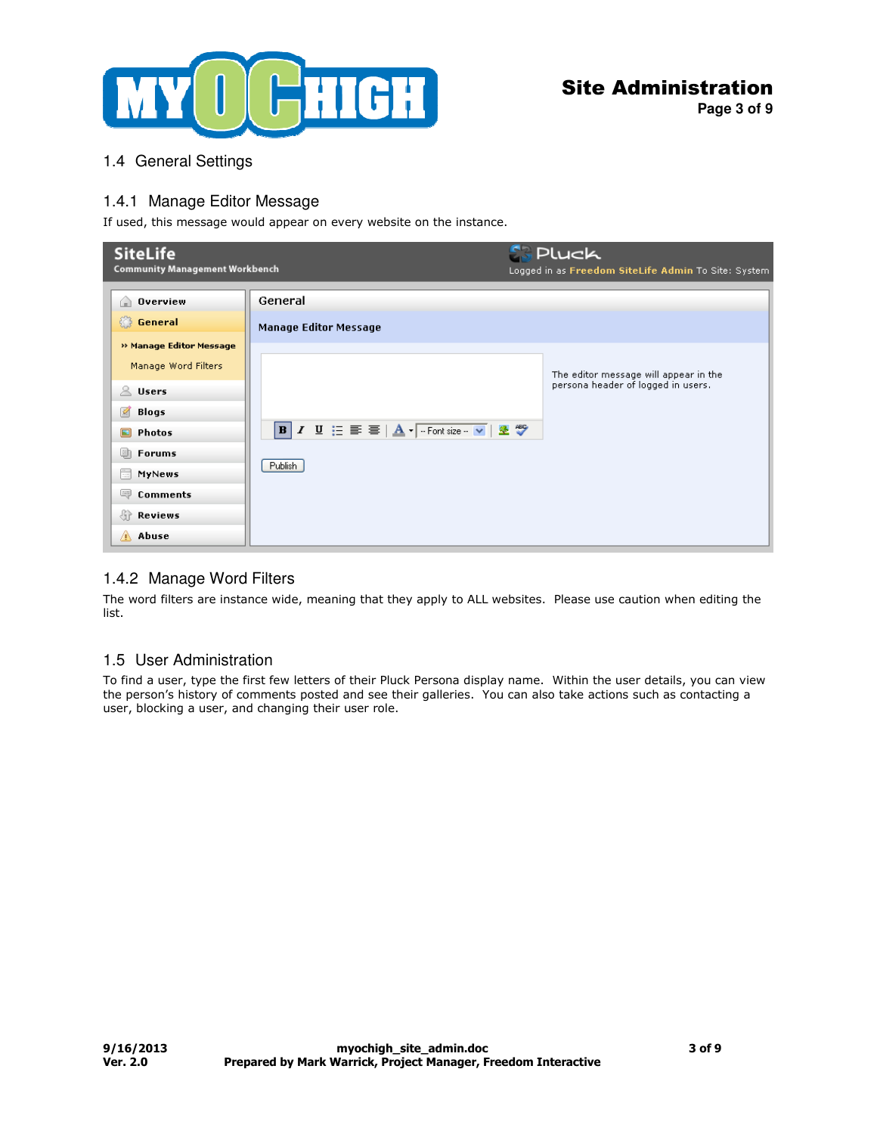

**Page 3 of 9**

## 1.4 General Settings

## 1.4.1 Manage Editor Message

If used, this message would appear on every website on the instance.

| <b>SiteLife</b><br><b>Community Management Workbench</b>                           |                                         | <b>S. Pluck</b><br>Logged in as Freedom SiteLife Admin To Site: System      |
|------------------------------------------------------------------------------------|-----------------------------------------|-----------------------------------------------------------------------------|
| <b>Overview</b><br>⋒<br><b>General</b>                                             | General<br><b>Manage Editor Message</b> |                                                                             |
| » Manage Editor Message<br>Manage Word Filters<br>$\mathbb{R}$ Users<br>Ø<br>Blogs |                                         | The editor message will appear in the<br>persona header of logged in users. |
| Ξ<br>Photos<br>画<br><b>Forums</b><br>E<br>MyNews<br>四<br><b>Comments</b>           | Publish                                 |                                                                             |
| -47<br>Reviews<br>A Abuse                                                          |                                         |                                                                             |

## 1.4.2 Manage Word Filters

The word filters are instance wide, meaning that they apply to ALL websites. Please use caution when editing the list.

## 1.5 User Administration

To find a user, type the first few letters of their Pluck Persona display name. Within the user details, you can view the person's history of comments posted and see their galleries. You can also take actions such as contacting a user, blocking a user, and changing their user role.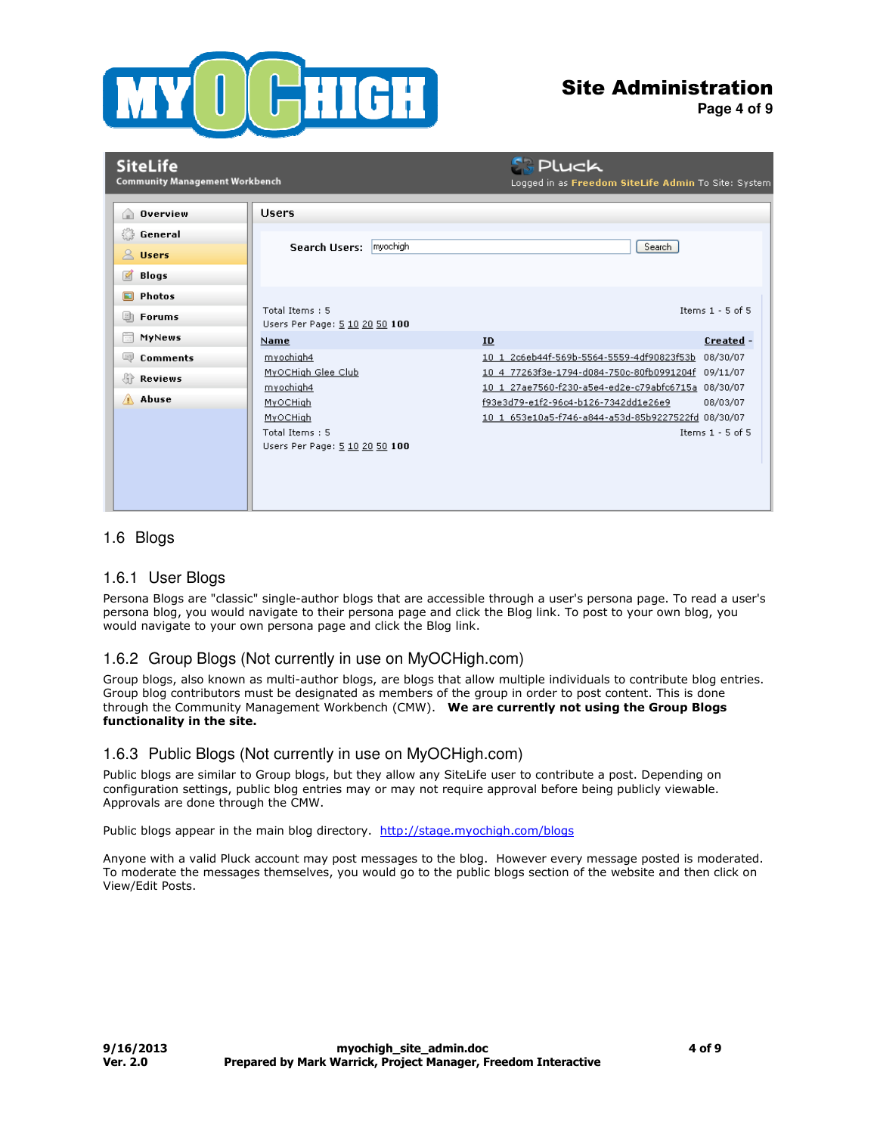

**Page 4 of 9**

| <b>SiteLife</b><br><b>Community Management Workbench</b>             |                                                                                                                          | <b>SPLuck</b><br>Logged in as Freedom SiteLife Admin To Site: System                                                                                                                                                                                                                           |
|----------------------------------------------------------------------|--------------------------------------------------------------------------------------------------------------------------|------------------------------------------------------------------------------------------------------------------------------------------------------------------------------------------------------------------------------------------------------------------------------------------------|
| <b>Overview</b><br>G)<br>General<br>$\mathbb{R}$ Users<br>図<br>Blogs | <b>Users</b><br>myochigh<br>Search Users:                                                                                | Search                                                                                                                                                                                                                                                                                         |
| Photos<br>o<br><b>Forums</b><br>画<br>÷<br>MyNews                     | Total Items: 5<br>Users Per Page: 5 10 20 50 100<br><b>Name</b>                                                          | Items $1 - 5$ of 5<br>Created -<br>ID                                                                                                                                                                                                                                                          |
| <b>Comments</b><br>L)<br>Reviews<br>Abuse                            | myochigh4<br>MyOCHigh Glee Club<br>myochigh4<br>MyOCHigh<br>MyOCHigh<br>Total Items: 5<br>Users Per Page: 5 10 20 50 100 | 10 1 2c6eb44f-569b-5564-5559-4df90823f53b 08/30/07<br>10 4 77263f3e-1794-d084-750c-80fb0991204f 09/11/07<br>10 1 27ae7560-f230-a5e4-ed2e-c79abfc6715a 08/30/07<br>f93e3d79-e1f2-96c4-b126-7342dd1e26e9<br>08/03/07<br>10 1 653e10a5-f746-a844-a53d-85b9227522fd 08/30/07<br>Items $1 - 5$ of 5 |
|                                                                      |                                                                                                                          |                                                                                                                                                                                                                                                                                                |

### 1.6 Blogs

#### 1.6.1 User Blogs

Persona Blogs are "classic" single-author blogs that are accessible through a user's persona page. To read a user's persona blog, you would navigate to their persona page and click the Blog link. To post to your own blog, you would navigate to your own persona page and click the Blog link.

### 1.6.2 Group Blogs (Not currently in use on MyOCHigh.com)

Group blogs, also known as multi-author blogs, are blogs that allow multiple individuals to contribute blog entries. Group blog contributors must be designated as members of the group in order to post content. This is done through the Community Management Workbench (CMW). We are currently not using the Group Blogs functionality in the site.

#### 1.6.3 Public Blogs (Not currently in use on MyOCHigh.com)

Public blogs are similar to Group blogs, but they allow any SiteLife user to contribute a post. Depending on configuration settings, public blog entries may or may not require approval before being publicly viewable. Approvals are done through the CMW.

Public blogs appear in the main blog directory. http://stage.myochigh.com/blogs

Anyone with a valid Pluck account may post messages to the blog. However every message posted is moderated. To moderate the messages themselves, you would go to the public blogs section of the website and then click on View/Edit Posts.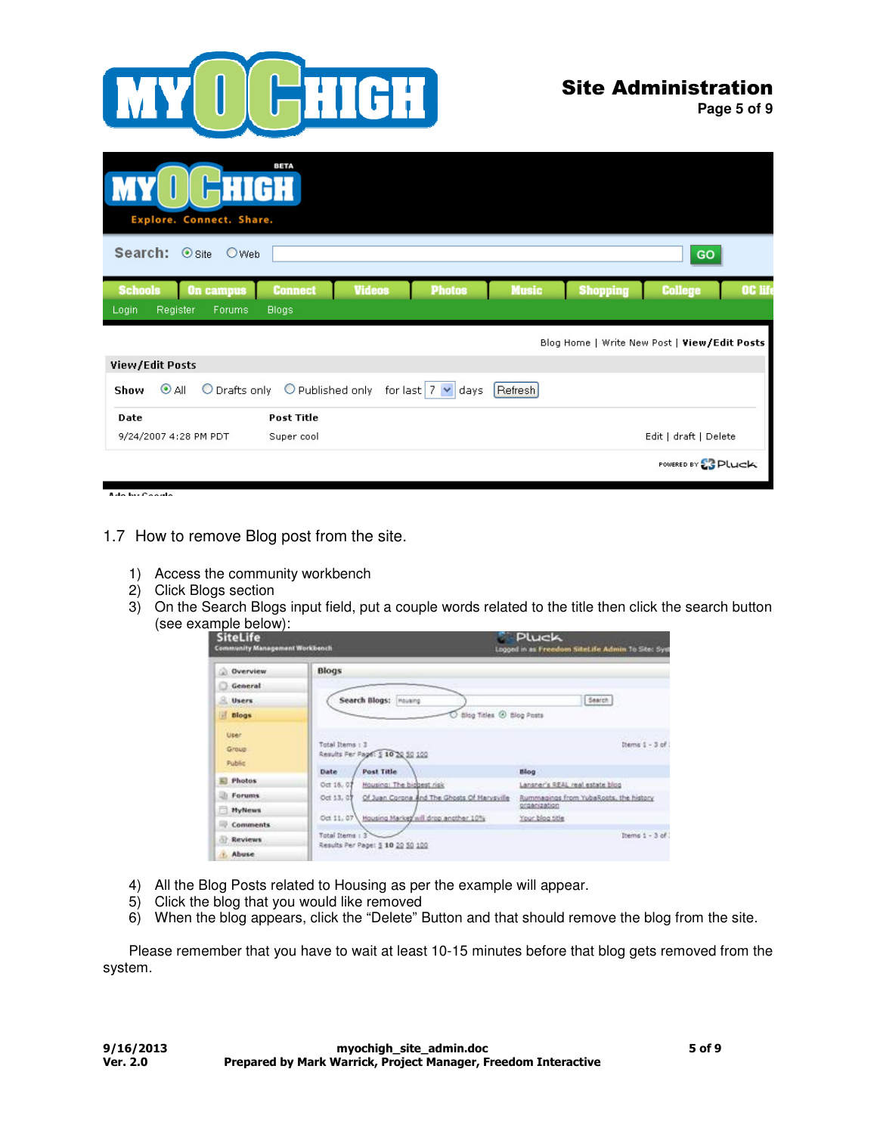

**Page 5 of 9**

| HIGH<br>Explore. Connect. Share.     | <b>BETA</b>       |                                |              |                 |                                              |         |
|--------------------------------------|-------------------|--------------------------------|--------------|-----------------|----------------------------------------------|---------|
| Search: Osite<br>OWeb                |                   |                                |              |                 | GO                                           |         |
| <b>Schools</b><br><b>On campus</b>   | <b>Connect</b>    | <b>Photos</b><br><b>Videos</b> | <b>Music</b> | <b>Shopping</b> | <b>College</b>                               | OC life |
| Login<br>Register<br>Forums          | <b>Blogs</b>      |                                |              |                 |                                              |         |
|                                      |                   |                                |              |                 |                                              |         |
|                                      |                   |                                |              |                 | Blog Home   Write New Post   View/Edit Posts |         |
| View/Edit Posts                      |                   |                                |              |                 |                                              |         |
| O Drafts only<br>$\odot$ All<br>Show | O Published only  | for last $ 7 \times$ days      | Refresh      |                 |                                              |         |
| Date                                 | <b>Post Title</b> |                                |              |                 |                                              |         |
| 9/24/2007 4:28 PM PDT                | Super cool        |                                |              |                 | Edit   draft   Delete                        |         |

1.7 How to remove Blog post from the site.

- 1) Access the community workbench
- 2) Click Blogs section
- 3) On the Search Blogs input field, put a couple words related to the title then click the search button (see example below):

| <b>SiteLife</b><br><b>Community Management Workbench</b> |                                                                                                      | <b>Pluck</b><br>Logged in as Freedom SiteLife Admin to Stee Syst                         |
|----------------------------------------------------------|------------------------------------------------------------------------------------------------------|------------------------------------------------------------------------------------------|
| <b>Overview</b>                                          | Blogs                                                                                                |                                                                                          |
| General                                                  |                                                                                                      |                                                                                          |
| a.<br><b>Users</b>                                       | Search Blogs:<br>Housing                                                                             | Search                                                                                   |
| a.<br><b>Blogs</b>                                       | Blog Titles @ Blog Posts                                                                             |                                                                                          |
| User<br>Group<br><b>Public</b>                           | Total Items: 3<br>Results Per Page: \$ 10 20 50 100                                                  | Dierns 1 - 3 of                                                                          |
| <b>Photos</b>                                            | <b>Post Title</b><br>Date:                                                                           | <b>Blog</b>                                                                              |
| <b>Forums</b>                                            | Housing: The biobest risk<br>Oct 16, 07<br>Of Juan Corona And The Ghosts Of Harvsville<br>Oct 13, 07 | Lansner's REAL real estate blog<br>Rummagings from YubaRoots, the history<br>propriation |
| <b>MyNews</b>                                            | Oct 11, 07<br>Housing Markey will drop another 10%                                                   | Your blog title                                                                          |
| <b>Comments</b>                                          |                                                                                                      |                                                                                          |
| <b>Reviews</b>                                           | <b>Total Items</b><br>Results Per Page: \$ 10 20 50 100                                              | Demo $1 - 3$ of $1$                                                                      |
| Abuse                                                    |                                                                                                      |                                                                                          |

- 4) All the Blog Posts related to Housing as per the example will appear.
- 5) Click the blog that you would like removed
- 6) When the blog appears, click the "Delete" Button and that should remove the blog from the site.

Please remember that you have to wait at least 10-15 minutes before that blog gets removed from the system.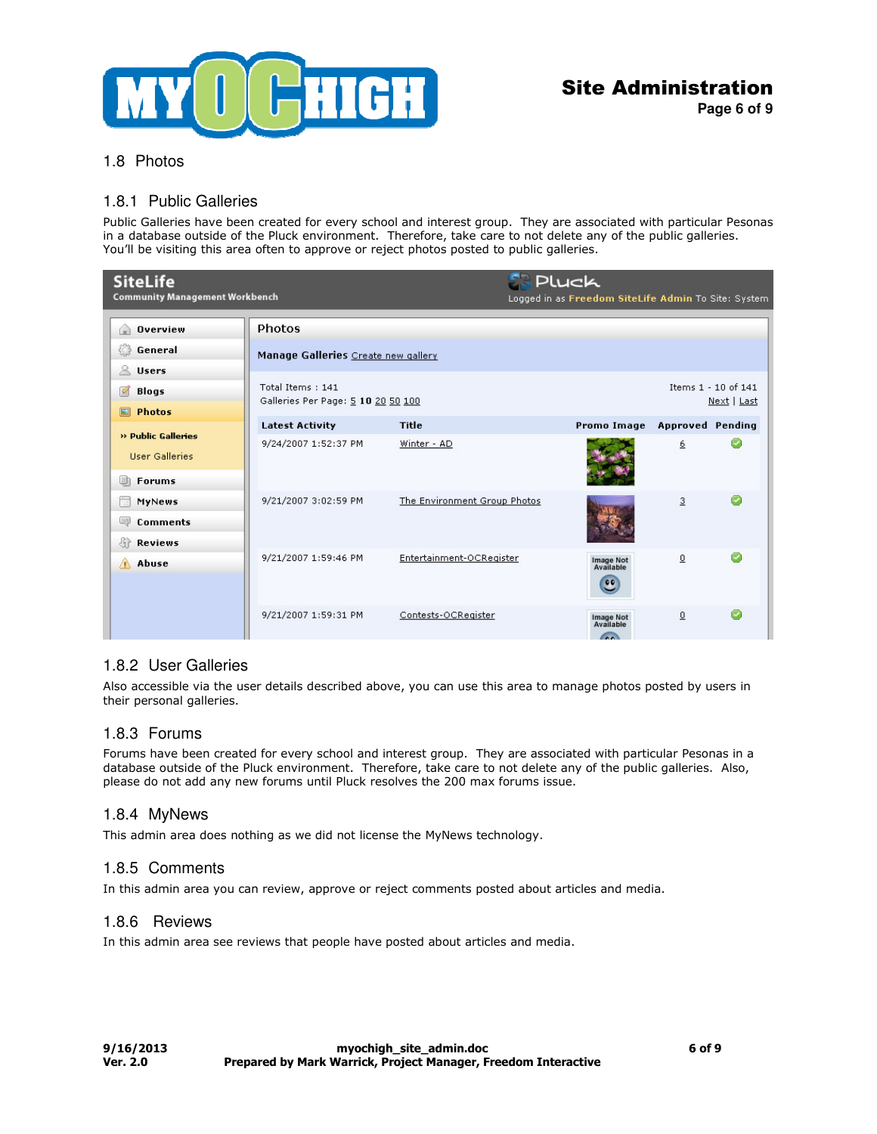

**Page 6 of 9**

# 1.8 Photos

### 1.8.1 Public Galleries

Public Galleries have been created for every school and interest group. They are associated with particular Pesonas in a database outside of the Pluck environment. Therefore, take care to not delete any of the public galleries. You'll be visiting this area often to approve or reject photos posted to public galleries.

| <b>SiteLife</b><br><b>Community Management Workbench</b> |                                                        |                              | <b>Pluck</b><br>Logged in as Freedom SiteLife Admin To Site: System |                |                                    |
|----------------------------------------------------------|--------------------------------------------------------|------------------------------|---------------------------------------------------------------------|----------------|------------------------------------|
| <b>Overview</b><br>G)                                    | Photos                                                 |                              |                                                                     |                |                                    |
| General                                                  | Manage Galleries Create new gallery                    |                              |                                                                     |                |                                    |
| $&$ Users                                                |                                                        |                              |                                                                     |                |                                    |
| M<br><b>Blogs</b>                                        | Total Items: 141<br>Galleries Per Page: 5 10 20 50 100 |                              |                                                                     |                | Items 1 - 10 of 141<br>Next   Last |
| <b>Photos</b>                                            |                                                        |                              |                                                                     |                |                                    |
| » Public Galleries                                       | <b>Latest Activity</b>                                 | Title                        | Promo Image Approved Pending                                        |                |                                    |
| <b>User Galleries</b>                                    | 9/24/2007 1:52:37 PM                                   | Winter - AD                  |                                                                     | 6              |                                    |
| 画<br><b>Forums</b>                                       |                                                        |                              |                                                                     |                |                                    |
| E.<br>MyNews                                             | 9/21/2007 3:02:59 PM                                   | The Environment Group Photos |                                                                     | $\mathbf{3}$   |                                    |
| 学<br><b>Comments</b>                                     |                                                        |                              |                                                                     |                |                                    |
| Reviews                                                  |                                                        |                              |                                                                     |                |                                    |
| Abuse<br>А                                               | 9/21/2007 1:59:46 PM                                   | Entertainment-OCRegister     | Image Not<br>Available<br>$\overline{\mathbf{e}}$                   | 0              |                                    |
|                                                          | 9/21/2007 1:59:31 PM                                   | Contests-OCRegister          | Image Not<br>Available<br>$\sqrt{2}$                                | $\overline{0}$ |                                    |

### 1.8.2 User Galleries

Also accessible via the user details described above, you can use this area to manage photos posted by users in their personal galleries.

### 1.8.3 Forums

Forums have been created for every school and interest group. They are associated with particular Pesonas in a database outside of the Pluck environment. Therefore, take care to not delete any of the public galleries. Also, please do not add any new forums until Pluck resolves the 200 max forums issue.

### 1.8.4 MyNews

This admin area does nothing as we did not license the MyNews technology.

### 1.8.5 Comments

In this admin area you can review, approve or reject comments posted about articles and media.

#### 1.8.6 Reviews

In this admin area see reviews that people have posted about articles and media.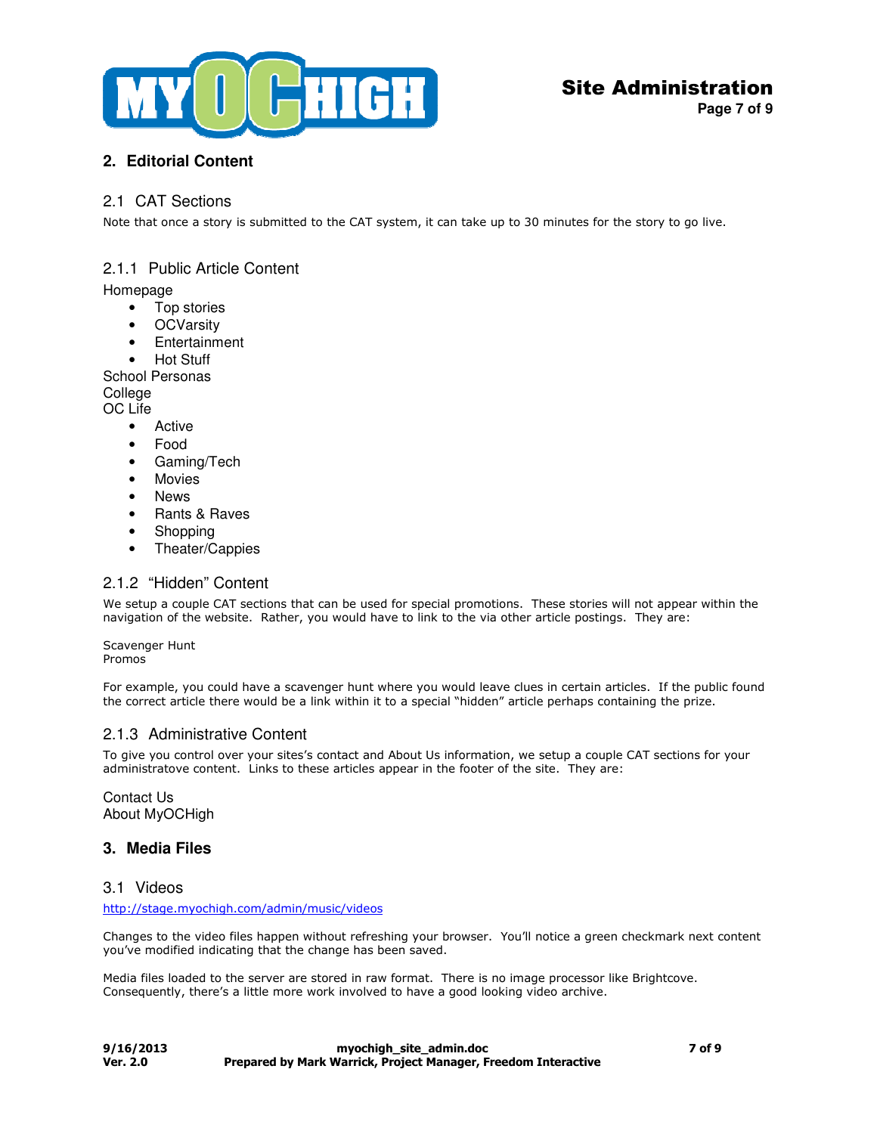

**Page 7 of 9**

## **2. Editorial Content**

### 2.1 CAT Sections

Note that once a story is submitted to the CAT system, it can take up to 30 minutes for the story to go live.

## 2.1.1 Public Article Content

#### Homepage

- Top stories
- OCVarsity
- Entertainment
- Hot Stuff

School Personas **College** 

OC Life

- **Active**
- Food
- Gaming/Tech
- Movies
- News
- Rants & Raves
- Shopping
- Theater/Cappies

## 2.1.2 "Hidden" Content

We setup a couple CAT sections that can be used for special promotions. These stories will not appear within the navigation of the website. Rather, you would have to link to the via other article postings. They are:

Scavenger Hunt Promos

For example, you could have a scavenger hunt where you would leave clues in certain articles. If the public found the correct article there would be a link within it to a special "hidden" article perhaps containing the prize.

### 2.1.3 Administrative Content

To give you control over your sites's contact and About Us information, we setup a couple CAT sections for your administratove content. Links to these articles appear in the footer of the site. They are:

Contact Us About MyOCHigh

### **3. Media Files**

### 3.1 Videos

http://stage.myochigh.com/admin/music/videos

Changes to the video files happen without refreshing your browser. You'll notice a green checkmark next content you've modified indicating that the change has been saved.

Media files loaded to the server are stored in raw format. There is no image processor like Brightcove. Consequently, there's a little more work involved to have a good looking video archive.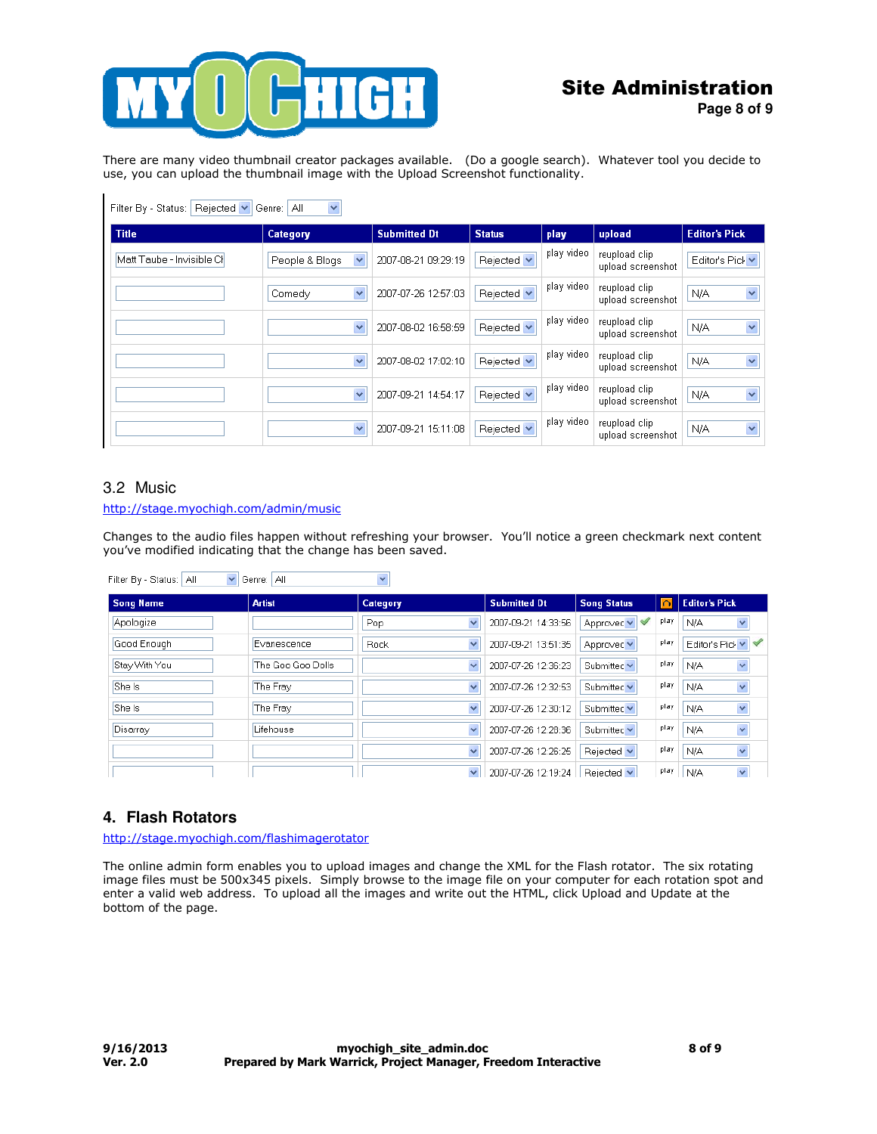

There are many video thumbnail creator packages available. (Do a google search). Whatever tool you decide to use, you can upload the thumbnail image with the Upload Screenshot functionality.

| Rejected <b>v</b><br>Filter By - Status:<br>Αll<br>Genre:  <br>× |                                |                     |               |            |                                    |                                |  |  |
|------------------------------------------------------------------|--------------------------------|---------------------|---------------|------------|------------------------------------|--------------------------------|--|--|
| <b>Title</b>                                                     | <b>Category</b>                | <b>Submitted Dt</b> | <b>Status</b> | play       | upload                             | <b>Editor's Pick</b>           |  |  |
| Matt Taube - Invisible Cl <sup>i</sup>                           | People & Blogs<br>$\checkmark$ | 2007-08-21 09:29:19 | Rejected v    | play video | reupload clip<br>upload screenshot | Editor's Pick v                |  |  |
|                                                                  | $\checkmark$<br>Comedy         | 2007-07-26 12:57:03 | Rejected v    | play video | reupload clip<br>upload screenshot | $\mathbf{v}$<br>N/A            |  |  |
|                                                                  | $\checkmark$                   | 2007-08-02 16:58:59 | Rejected v    | play video | reupload clip<br>upload screenshot | $\checkmark$<br>N/A            |  |  |
|                                                                  | $\checkmark$                   | 2007-08-02 17:02:10 | Rejected v    | play video | reupload clip<br>upload screenshot | $\overline{\mathbf{v}}$<br>N/A |  |  |
|                                                                  | $\checkmark$                   | 2007-09-21 14:54:17 | Rejected v    | play video | reupload clip<br>upload screenshot | $\checkmark$<br>N/A            |  |  |
|                                                                  | $\checkmark$                   | 2007-09-21 15:11:08 | Rejected v    | play video | reupload clip<br>upload screenshot | $\overline{\mathbf{v}}$<br>N/A |  |  |

### 3.2 Music

 $\mathbf{I}$ 

#### http://stage.myochigh.com/admin/music

Changes to the audio files happen without refreshing your browser. You'll notice a green checkmark next content you've modified indicating that the change has been saved.

| Filter By - Status:   All<br>Genre: All<br>$\checkmark$<br>$\checkmark$ |                   |                         |                     |                    |      |                                |  |  |
|-------------------------------------------------------------------------|-------------------|-------------------------|---------------------|--------------------|------|--------------------------------|--|--|
| <b>Song Name</b>                                                        | <b>Artist</b>     | <b>Category</b>         | <b>Submitted Dt</b> | <b>Song Status</b> | ച    | <b>Editor's Pick</b>           |  |  |
| Apologize                                                               |                   | $\ddotmark$<br>Pop.     | 2007-09-21 14:33:56 | Approved v         | play | N/A<br>$\checkmark$            |  |  |
| Good Enough                                                             | Evanescence       | $\checkmark$<br>Rock    | 2007-09-21 13:51:35 | Approved Y         | play | Editor's Pick v                |  |  |
| Stay With You                                                           | The Goo Goo Dolls | $\ddotmark$             | 2007-07-26 12:36:23 | Submitted v        | play | ×<br>N/A                       |  |  |
| She Is                                                                  | The Fray          | $\ddotmark$             | 2007-07-26 12:32:53 | Submitted Y        | play | $\overline{\mathbf{v}}$<br>N/A |  |  |
| She Is                                                                  | The Frav          | $\ddotmark$             | 2007-07-26 12:30:12 | Submitted v        | play | $\checkmark$<br>N/A            |  |  |
| Disarray                                                                | Lifehouse         | $\ddotmark$             | 2007-07-26 12:28:36 | Submitted v        | play | $\checkmark$<br>N/A            |  |  |
|                                                                         |                   | $\overline{\mathbf{v}}$ | 2007-07-26 12:26:25 | Rejected v         | play | $\checkmark$<br>N/A            |  |  |
|                                                                         |                   | $\checkmark$            | 2007-07-26 12:19:24 | Rejected v         | play | $\checkmark$<br>N/A            |  |  |

### **4. Flash Rotators**

http://stage.myochigh.com/flashimagerotator

The online admin form enables you to upload images and change the XML for the Flash rotator. The six rotating image files must be 500x345 pixels. Simply browse to the image file on your computer for each rotation spot and enter a valid web address. To upload all the images and write out the HTML, click Upload and Update at the bottom of the page.